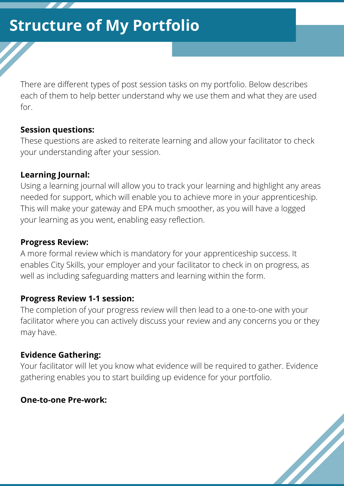There are different types of post session tasks on my portfolio. Below describes each of them to help better understand why we use them and what they are used for.

#### **Session questions:**

These questions are asked to reiterate learning and allow your facilitator to check your understanding after your session.

#### **Learning Journal:**

Using a learning journal will allow you to track your learning and highlight any areas needed for support, which will enable you to achieve more in your apprenticeship. This will make your gateway and EPA much smoother, as you will have a logged your learning as you went, enabling easy reflection.

#### **Progress Review:**

A more formal review which is mandatory for your apprenticeship success. It enables City Skills, your employer and your facilitator to check in on progress, as well as including safeguarding matters and learning within the form.

### **Progress Review 1-1 session:**

The completion of your progress review will then lead to a one-to-one with your facilitator where you can actively discuss your review and any concerns you or they may have.

### **Evidence Gathering:**

Your facilitator will let you know what evidence will be required to gather. Evidence gathering enables you to start building up evidence for your portfolio.

<u>N</u>

#### **One-to-one Pre-work:**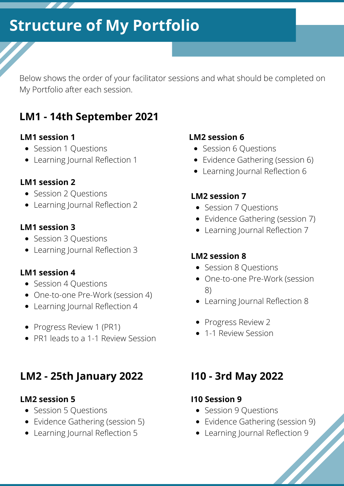Below shows the order of your facilitator sessions and what should be completed on My Portfolio after each session.

### **LM1 - 14th September 2021**

#### **LM1 session 1**

- Session 1 Questions
- Learning Journal Reflection 1

#### **LM1 session 2**

- Session 2 Questions
- Learning Journal Reflection 2

#### **LM1 session 3**

- Session 3 Ouestions
- Learning Journal Reflection 3

#### **LM1 session 4**

- Session 4 Questions
- One-to-one Pre-Work (session 4)
- Learning Journal Reflection 4
- Progress Review 1 (PR1)
- PR1 leads to a 1-1 Review Session

### **LM2 - 25th January 2022 I10 - 3rd May 2022**

#### **LM2 session 5**

- Session 5 Questions
- Evidence Gathering (session 5)
- Learning Journal Reflection 5

#### **LM2 session 6**

- Session 6 Questions
- Evidence Gathering (session 6)
- Learning Journal Reflection 6

#### **LM2 session 7**

- Session 7 Questions
- Evidence Gathering (session 7)
- Learning Journal Reflection 7

#### **LM2 session 8**

- Session 8 Questions
- One-to-one Pre-Work (session 8)
- Learning Journal Reflection 8
- Progress Review 2
- 1-1 Review Session

#### **I10 Session 9**

- Session 9 Questions
- Evidence Gathering (session 9)
- Learning Journal Reflection 9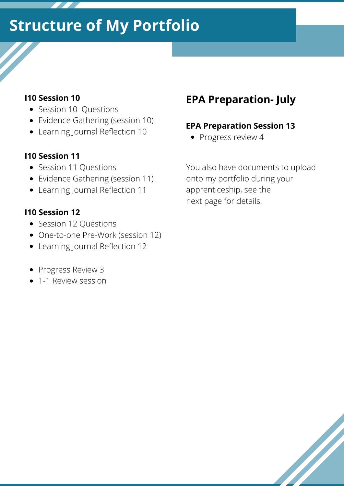#### **I10 Session 10**

- Session 10 Questions
- Evidence Gathering (session 10)
- Learning Journal Reflection 10

#### **I10 Session 11**

- Session 11 Questions
- Evidence Gathering (session 11)
- Learning Journal Reflection 11

#### **I10 Session 12**

- Session 12 Questions
- One-to-one Pre-Work (session 12)
- Learning Journal Reflection 12
- Progress Review 3
- 1-1 Review session

### **EPA Preparation- July**

#### **EPA Preparation Session 13**

• Progress review 4

You also have documents to upload onto my portfolio during your apprenticeship, see the next page for details.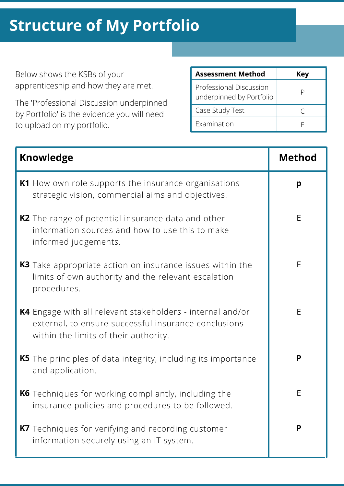Below shows the KSBs of your apprenticeship and how they are met.

The 'Professional Discussion underpinned by Portfolio' is the evidence you will need to upload on my portfolio.

| <b>Assessment Method</b>                            | Key |
|-----------------------------------------------------|-----|
| Professional Discussion<br>underpinned by Portfolio |     |
| Case Study Test                                     |     |
| Examination                                         |     |

| <b>Knowledge</b>                                                                                                                                                   | <b>Method</b> |
|--------------------------------------------------------------------------------------------------------------------------------------------------------------------|---------------|
| K1 How own role supports the insurance organisations<br>strategic vision, commercial aims and objectives.                                                          | p             |
| <b>K2</b> The range of potential insurance data and other<br>information sources and how to use this to make<br>informed judgements.                               | E             |
| <b>K3</b> Take appropriate action on insurance issues within the<br>limits of own authority and the relevant escalation<br>procedures.                             | E             |
| <b>K4</b> Engage with all relevant stakeholders - internal and/or<br>external, to ensure successful insurance conclusions<br>within the limits of their authority. | E             |
| <b>K5</b> The principles of data integrity, including its importance<br>and application.                                                                           | P             |
| <b>K6</b> Techniques for working compliantly, including the<br>insurance policies and procedures to be followed.                                                   | Е             |
| <b>K7</b> Techniques for verifying and recording customer<br>information securely using an IT system.                                                              | P             |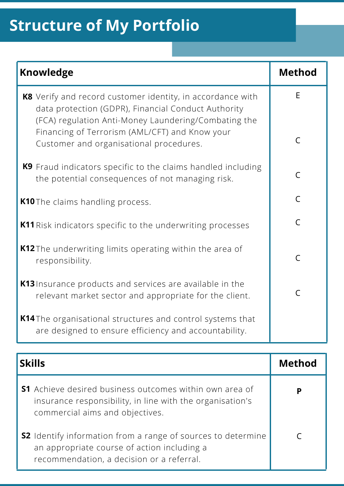| <b>Knowledge</b>                                                                                                                                                          | <b>Method</b>  |
|---------------------------------------------------------------------------------------------------------------------------------------------------------------------------|----------------|
| K8 Verify and record customer identity, in accordance with<br>data protection (GDPR), Financial Conduct Authority<br>(FCA) regulation Anti-Money Laundering/Combating the | E              |
| Financing of Terrorism (AML/CFT) and Know your<br>Customer and organisational procedures.                                                                                 | $\mathsf{C}$   |
| K9 Fraud indicators specific to the claims handled including<br>the potential consequences of not managing risk.                                                          | $\mathsf{C}$   |
| K10 The claims handling process.                                                                                                                                          | $\overline{C}$ |
| <b>K11</b> Risk indicators specific to the underwriting processes                                                                                                         | $\overline{C}$ |
| <b>K12</b> The underwriting limits operating within the area of<br>responsibility.                                                                                        | $\mathsf{C}$   |
| K13 Insurance products and services are available in the<br>relevant market sector and appropriate for the client.                                                        | $\mathsf{C}$   |
| <b>K14</b> The organisational structures and control systems that<br>are designed to ensure efficiency and accountability.                                                |                |

| <b>Skills</b>                                                                                                                                                   | <b>Method</b> |
|-----------------------------------------------------------------------------------------------------------------------------------------------------------------|---------------|
| <b>S1</b> Achieve desired business outcomes within own area of<br>insurance responsibility, in line with the organisation's<br>commercial aims and objectives.  | D             |
| <b>S2</b> Identify information from a range of sources to determine<br>an appropriate course of action including a<br>recommendation, a decision or a referral. |               |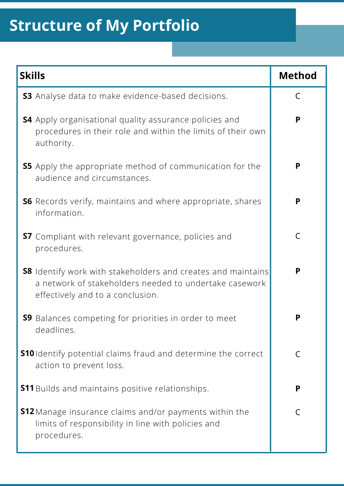| <b>Skills</b>                                                                                                                                                     | <b>Method</b> |
|-------------------------------------------------------------------------------------------------------------------------------------------------------------------|---------------|
| <b>S3</b> Analyse data to make evidence-based decisions.                                                                                                          | C             |
| <b>S4</b> Apply organisational quality assurance policies and<br>procedures in their role and within the limits of their own<br>authority.                        | P             |
| <b>S5</b> Apply the appropriate method of communication for the<br>audience and circumstances.                                                                    | P             |
| <b>S6</b> Records verify, maintains and where appropriate, shares<br>information.                                                                                 | P             |
| <b>S7</b> Compliant with relevant governance, policies and<br>procedures.                                                                                         | $\mathsf C$   |
| <b>S8</b> Identify work with stakeholders and creates and maintains<br>a network of stakeholders needed to undertake casework<br>effectively and to a conclusion. | P             |
| 59 Balances competing for priorities in order to meet<br>deadlines.                                                                                               | Ρ             |
| <b>S10</b> Identify potential claims fraud and determine the correct<br>action to prevent loss.                                                                   | C             |
| <b>S11</b> Builds and maintains positive relationships.                                                                                                           | P             |
| <b>S12</b> Manage insurance claims and/or payments within the<br>limits of responsibility in line with policies and<br>procedures.                                | C             |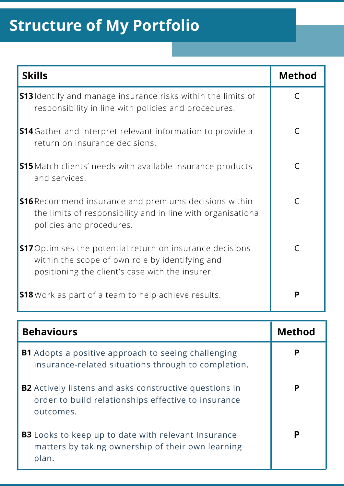| <b>Skills</b>                                                                                                                                                          | <b>Method</b> |
|------------------------------------------------------------------------------------------------------------------------------------------------------------------------|---------------|
| <b>S13</b> Identify and manage insurance risks within the limits of<br>responsibility in line with policies and procedures.                                            | $\subset$     |
| <b>S14</b> Gather and interpret relevant information to provide a<br>return on insurance decisions.                                                                    | C             |
| <b>S15</b> Match clients' needs with available insurance products<br>and services.                                                                                     | $\mathcal{C}$ |
| <b>S16</b> Recommend insurance and premiums decisions within<br>the limits of responsibility and in line with organisational<br>policies and procedures.               | $\subset$     |
| <b>S17</b> Optimises the potential return on insurance decisions<br>within the scope of own role by identifying and<br>positioning the client's case with the insurer. | $\subset$     |
| <b>S18</b> Work as part of a team to help achieve results.                                                                                                             | P             |

| <b>Behaviours</b>                                                                                                                 | <b>Method</b> |
|-----------------------------------------------------------------------------------------------------------------------------------|---------------|
| <b>B1</b> Adopts a positive approach to seeing challenging<br>insurance-related situations through to completion.                 | P             |
| <b>B2</b> Actively listens and asks constructive questions in<br>order to build relationships effective to insurance<br>outcomes. | P             |
| <b>B3</b> Looks to keep up to date with relevant Insurance<br>matters by taking ownership of their own learning<br>plan.          | P             |